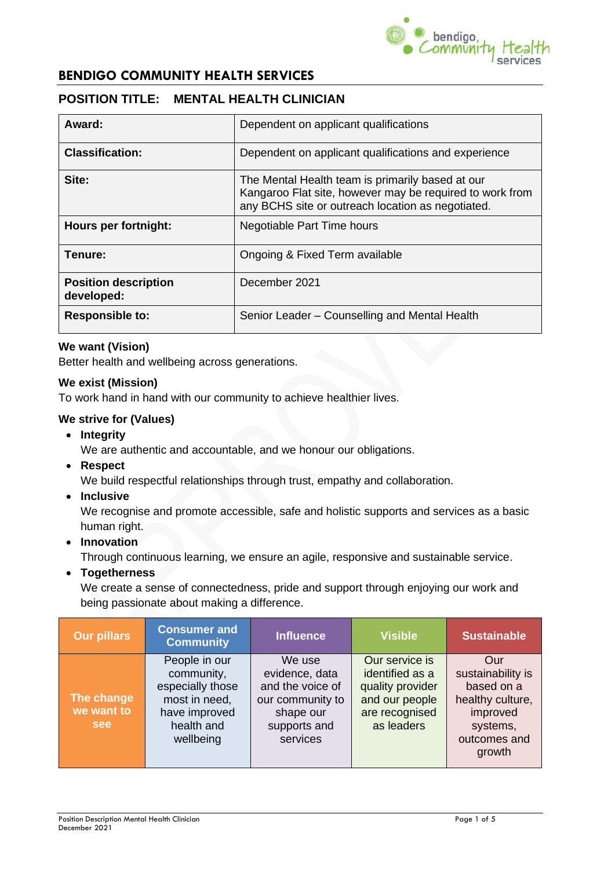

## **POSITION TITLE: MENTAL HEALTH CLINICIAN**

| Award:                                    | Dependent on applicant qualifications                                                                                                                             |  |  |
|-------------------------------------------|-------------------------------------------------------------------------------------------------------------------------------------------------------------------|--|--|
| <b>Classification:</b>                    | Dependent on applicant qualifications and experience                                                                                                              |  |  |
| Site:                                     | The Mental Health team is primarily based at our<br>Kangaroo Flat site, however may be required to work from<br>any BCHS site or outreach location as negotiated. |  |  |
| Hours per fortnight:                      | Negotiable Part Time hours                                                                                                                                        |  |  |
| Tenure:                                   | Ongoing & Fixed Term available                                                                                                                                    |  |  |
| <b>Position description</b><br>developed: | December 2021                                                                                                                                                     |  |  |
| <b>Responsible to:</b>                    | Senior Leader – Counselling and Mental Health                                                                                                                     |  |  |

### **We want (Vision)**

Better health and wellbeing across generations.

#### **We exist (Mission)**

To work hand in hand with our community to achieve healthier lives.

#### **We strive for (Values)**

• **Integrity**

We are authentic and accountable, and we honour our obligations.

• **Respect**

We build respectful relationships through trust, empathy and collaboration.

• **Inclusive**

We recognise and promote accessible, safe and holistic supports and services as a basic human right.

• **Innovation**

Through continuous learning, we ensure an agile, responsive and sustainable service.

• **Togetherness**

We create a sense of connectedness, pride and support through enjoying our work and being passionate about making a difference.

| <b>Our pillars</b>                     | <b>Consumer and</b><br><b>Community</b>                                                                      | <b>Influence</b>                                                                                          | <b>Visible</b>                                                                                          | <b>Sustainable</b>                                                                                           |
|----------------------------------------|--------------------------------------------------------------------------------------------------------------|-----------------------------------------------------------------------------------------------------------|---------------------------------------------------------------------------------------------------------|--------------------------------------------------------------------------------------------------------------|
| The change<br>we want to<br><b>see</b> | People in our<br>community,<br>especially those<br>most in need,<br>have improved<br>health and<br>wellbeing | We use<br>evidence, data<br>and the voice of<br>our community to<br>shape our<br>supports and<br>services | Our service is<br>identified as a<br>quality provider<br>and our people<br>are recognised<br>as leaders | Our<br>sustainability is<br>based on a<br>healthy culture,<br>improved<br>systems,<br>outcomes and<br>growth |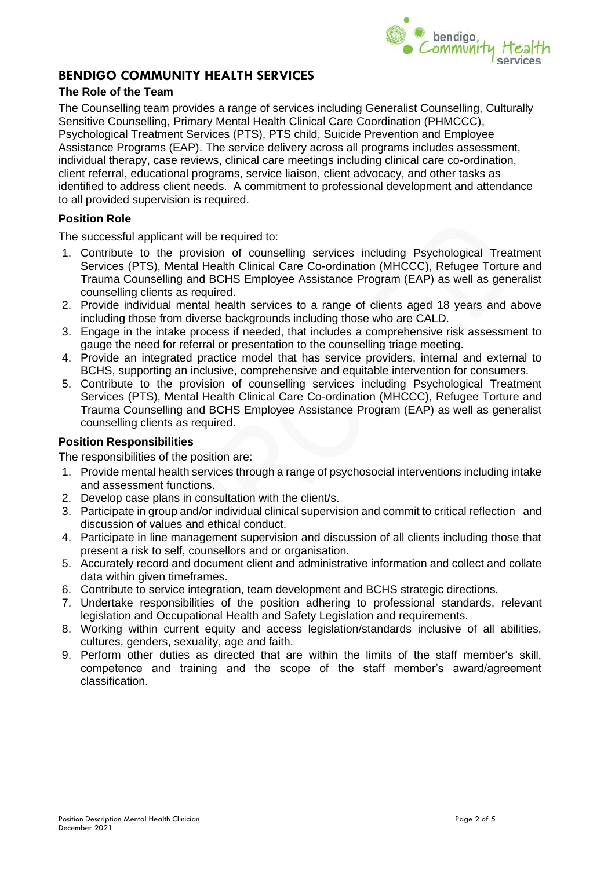

#### **The Role of the Team**

The Counselling team provides a range of services including Generalist Counselling, Culturally Sensitive Counselling, Primary Mental Health Clinical Care Coordination (PHMCCC), Psychological Treatment Services (PTS), PTS child, Suicide Prevention and Employee Assistance Programs (EAP). The service delivery across all programs includes assessment, individual therapy, case reviews, clinical care meetings including clinical care co-ordination, client referral, educational programs, service liaison, client advocacy, and other tasks as identified to address client needs. A commitment to professional development and attendance to all provided supervision is required.

#### **Position Role**

The successful applicant will be required to:

- 1. Contribute to the provision of counselling services including Psychological Treatment Services (PTS), Mental Health Clinical Care Co-ordination (MHCCC), Refugee Torture and Trauma Counselling and BCHS Employee Assistance Program (EAP) as well as generalist counselling clients as required.
- 2. Provide individual mental health services to a range of clients aged 18 years and above including those from diverse backgrounds including those who are CALD.
- 3. Engage in the intake process if needed, that includes a comprehensive risk assessment to gauge the need for referral or presentation to the counselling triage meeting.
- 4. Provide an integrated practice model that has service providers, internal and external to BCHS, supporting an inclusive, comprehensive and equitable intervention for consumers.
- 5. Contribute to the provision of counselling services including Psychological Treatment Services (PTS), Mental Health Clinical Care Co-ordination (MHCCC), Refugee Torture and Trauma Counselling and BCHS Employee Assistance Program (EAP) as well as generalist counselling clients as required.

#### **Position Responsibilities**

The responsibilities of the position are:

- 1. Provide mental health services through a range of psychosocial interventions including intake and assessment functions.
- 2. Develop case plans in consultation with the client/s.
- 3. Participate in group and/or individual clinical supervision and commit to critical reflection and discussion of values and ethical conduct.
- 4. Participate in line management supervision and discussion of all clients including those that present a risk to self, counsellors and or organisation.
- 5. Accurately record and document client and administrative information and collect and collate data within given timeframes.
- 6. Contribute to service integration, team development and BCHS strategic directions.
- 7. Undertake responsibilities of the position adhering to professional standards, relevant legislation and Occupational Health and Safety Legislation and requirements.
- 8. Working within current equity and access legislation/standards inclusive of all abilities, cultures, genders, sexuality, age and faith.
- 9. Perform other duties as directed that are within the limits of the staff member's skill, competence and training and the scope of the staff member's award/agreement classification.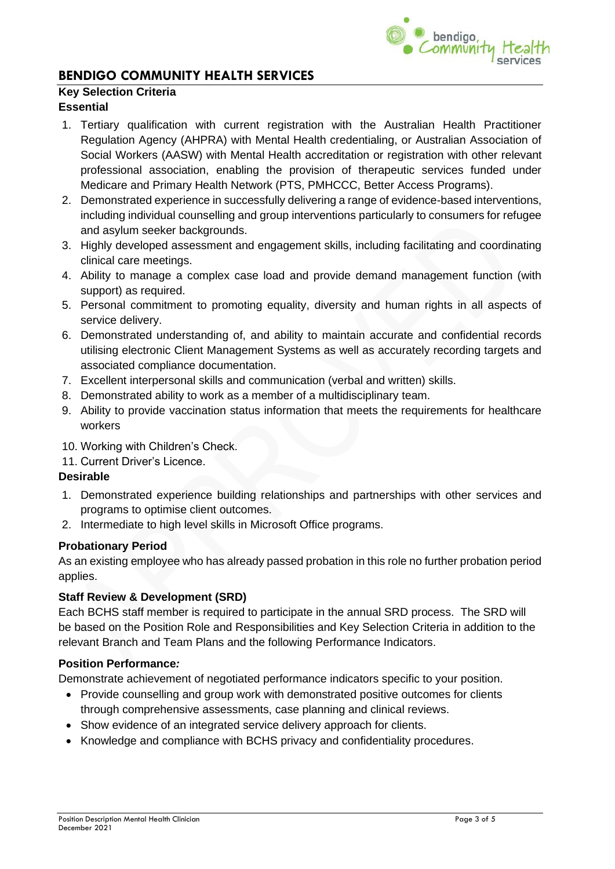

### **Key Selection Criteria**

#### **Essential**

- 1. Tertiary qualification with current registration with the Australian Health Practitioner Regulation Agency (AHPRA) with Mental Health credentialing, or Australian Association of Social Workers (AASW) with Mental Health accreditation or registration with other relevant professional association, enabling the provision of therapeutic services funded under Medicare and Primary Health Network (PTS, PMHCCC, Better Access Programs).
- 2. Demonstrated experience in successfully delivering a range of evidence-based interventions, including individual counselling and group interventions particularly to consumers for refugee and asylum seeker backgrounds.
- 3. Highly developed assessment and engagement skills, including facilitating and coordinating clinical care meetings.
- 4. Ability to manage a complex case load and provide demand management function (with support) as required.
- 5. Personal commitment to promoting equality, diversity and human rights in all aspects of service delivery.
- 6. Demonstrated understanding of, and ability to maintain accurate and confidential records utilising electronic Client Management Systems as well as accurately recording targets and associated compliance documentation.
- 7. Excellent interpersonal skills and communication (verbal and written) skills.
- 8. Demonstrated ability to work as a member of a multidisciplinary team.
- 9. Ability to provide vaccination status information that meets the requirements for healthcare workers
- 10. Working with Children's Check.
- 11. Current Driver's Licence.

#### **Desirable**

- 1. Demonstrated experience building relationships and partnerships with other services and programs to optimise client outcomes.
- 2. Intermediate to high level skills in Microsoft Office programs.

#### **Probationary Period**

As an existing employee who has already passed probation in this role no further probation period applies.

#### **Staff Review & Development (SRD)**

Each BCHS staff member is required to participate in the annual SRD process. The SRD will be based on the Position Role and Responsibilities and Key Selection Criteria in addition to the relevant Branch and Team Plans and the following Performance Indicators.

#### **Position Performance***:*

Demonstrate achievement of negotiated performance indicators specific to your position.

- Provide counselling and group work with demonstrated positive outcomes for clients through comprehensive assessments, case planning and clinical reviews.
- Show evidence of an integrated service delivery approach for clients.
- Knowledge and compliance with BCHS privacy and confidentiality procedures.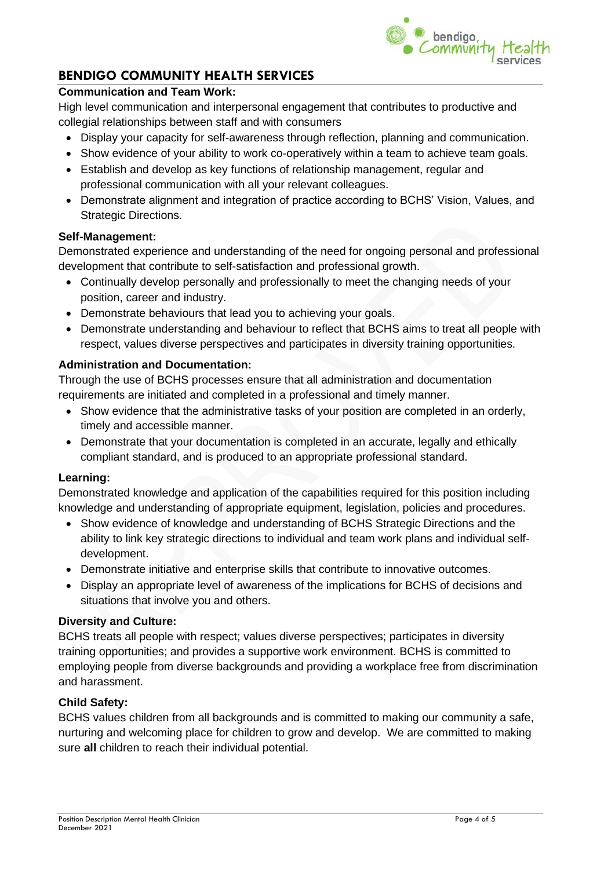

### **Communication and Team Work:**

High level communication and interpersonal engagement that contributes to productive and collegial relationships between staff and with consumers

- Display your capacity for self-awareness through reflection, planning and communication.
- Show evidence of your ability to work co-operatively within a team to achieve team goals.
- Establish and develop as key functions of relationship management, regular and professional communication with all your relevant colleagues.
- Demonstrate alignment and integration of practice according to BCHS' Vision, Values, and Strategic Directions.

#### **Self-Management:**

Demonstrated experience and understanding of the need for ongoing personal and professional development that contribute to self-satisfaction and professional growth.

- Continually develop personally and professionally to meet the changing needs of your position, career and industry.
- Demonstrate behaviours that lead you to achieving your goals.
- Demonstrate understanding and behaviour to reflect that BCHS aims to treat all people with respect, values diverse perspectives and participates in diversity training opportunities.

#### **Administration and Documentation:**

Through the use of BCHS processes ensure that all administration and documentation requirements are initiated and completed in a professional and timely manner.

- Show evidence that the administrative tasks of your position are completed in an orderly, timely and accessible manner.
- Demonstrate that your documentation is completed in an accurate, legally and ethically compliant standard, and is produced to an appropriate professional standard.

#### **Learning:**

Demonstrated knowledge and application of the capabilities required for this position including knowledge and understanding of appropriate equipment, legislation, policies and procedures.

- Show evidence of knowledge and understanding of BCHS Strategic Directions and the ability to link key strategic directions to individual and team work plans and individual selfdevelopment.
- Demonstrate initiative and enterprise skills that contribute to innovative outcomes.
- Display an appropriate level of awareness of the implications for BCHS of decisions and situations that involve you and others.

#### **Diversity and Culture:**

BCHS treats all people with respect; values diverse perspectives; participates in diversity training opportunities; and provides a supportive work environment. BCHS is committed to employing people from diverse backgrounds and providing a workplace free from discrimination and harassment.

#### **Child Safety:**

BCHS values children from all backgrounds and is committed to making our community a safe, nurturing and welcoming place for children to grow and develop. We are committed to making sure **all** children to reach their individual potential.